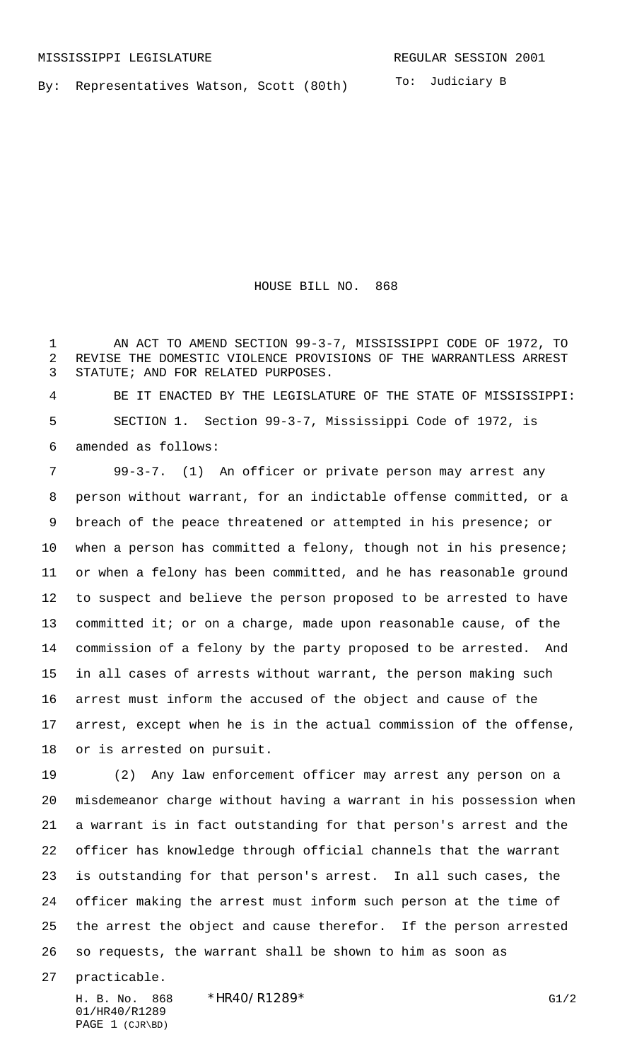By: Representatives Watson, Scott (80th)

To: Judiciary B

HOUSE BILL NO. 868

1 AN ACT TO AMEND SECTION 99-3-7, MISSISSIPPI CODE OF 1972, TO REVISE THE DOMESTIC VIOLENCE PROVISIONS OF THE WARRANTLESS ARREST STATUTE; AND FOR RELATED PURPOSES.

 BE IT ENACTED BY THE LEGISLATURE OF THE STATE OF MISSISSIPPI: SECTION 1. Section 99-3-7, Mississippi Code of 1972, is amended as follows:

 99-3-7. (1) An officer or private person may arrest any person without warrant, for an indictable offense committed, or a breach of the peace threatened or attempted in his presence; or when a person has committed a felony, though not in his presence; or when a felony has been committed, and he has reasonable ground to suspect and believe the person proposed to be arrested to have committed it; or on a charge, made upon reasonable cause, of the commission of a felony by the party proposed to be arrested. And in all cases of arrests without warrant, the person making such arrest must inform the accused of the object and cause of the arrest, except when he is in the actual commission of the offense, or is arrested on pursuit.

 (2) Any law enforcement officer may arrest any person on a misdemeanor charge without having a warrant in his possession when a warrant is in fact outstanding for that person's arrest and the officer has knowledge through official channels that the warrant is outstanding for that person's arrest. In all such cases, the officer making the arrest must inform such person at the time of the arrest the object and cause therefor. If the person arrested so requests, the warrant shall be shown to him as soon as

practicable.

01/HR40/R1289 PAGE 1 (CJR\BD)

H. B. No. 868 \*HR40/R1289\* G1/2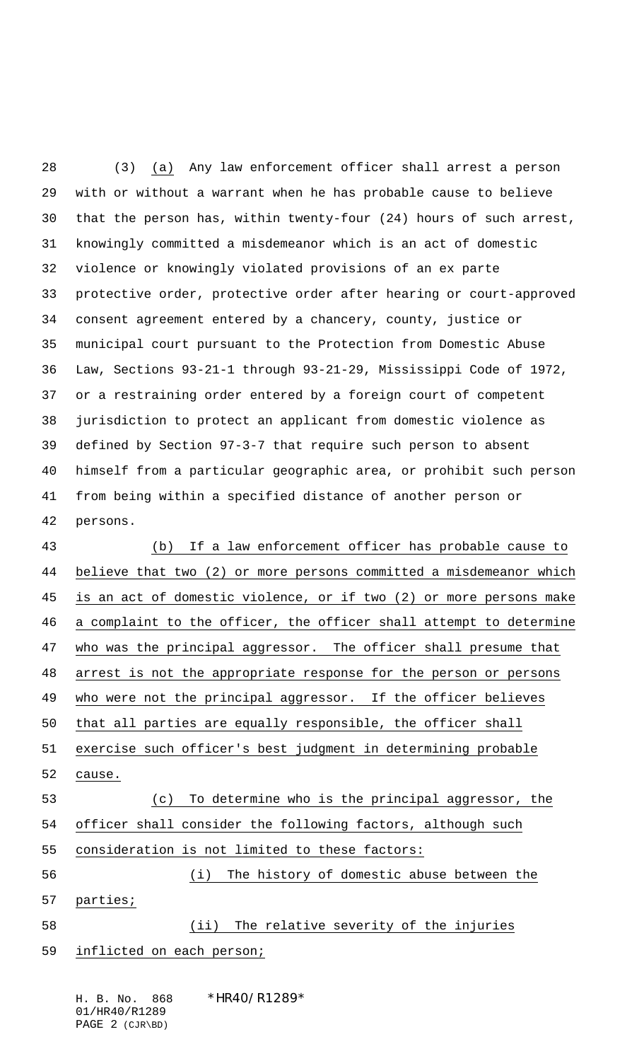(3) (a) Any law enforcement officer shall arrest a person with or without a warrant when he has probable cause to believe that the person has, within twenty-four (24) hours of such arrest, knowingly committed a misdemeanor which is an act of domestic violence or knowingly violated provisions of an ex parte protective order, protective order after hearing or court-approved consent agreement entered by a chancery, county, justice or municipal court pursuant to the Protection from Domestic Abuse Law, Sections 93-21-1 through 93-21-29, Mississippi Code of 1972, or a restraining order entered by a foreign court of competent jurisdiction to protect an applicant from domestic violence as defined by Section 97-3-7 that require such person to absent himself from a particular geographic area, or prohibit such person from being within a specified distance of another person or persons.

 (b) If a law enforcement officer has probable cause to believe that two (2) or more persons committed a misdemeanor which is an act of domestic violence, or if two (2) or more persons make a complaint to the officer, the officer shall attempt to determine who was the principal aggressor. The officer shall presume that arrest is not the appropriate response for the person or persons who were not the principal aggressor. If the officer believes that all parties are equally responsible, the officer shall exercise such officer's best judgment in determining probable cause. (c) To determine who is the principal aggressor, the officer shall consider the following factors, although such consideration is not limited to these factors: (i) The history of domestic abuse between the parties; (ii) The relative severity of the injuries inflicted on each person;

H. B. No. 868 \*HR40/R1289\* 01/HR40/R1289 PAGE 2 (CJR\BD)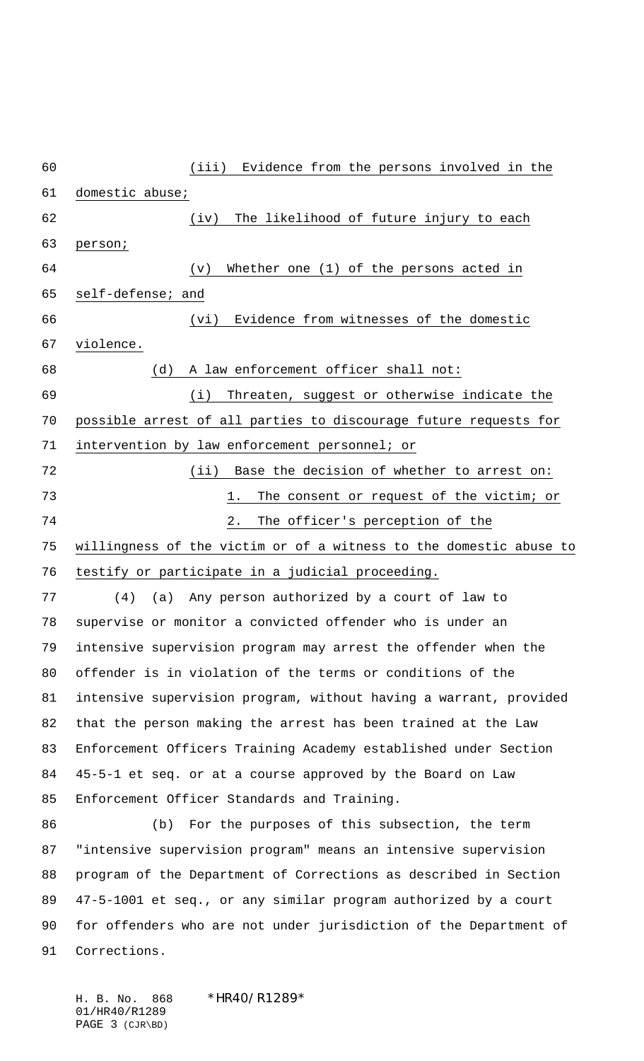(iii) Evidence from the persons involved in the domestic abuse; (iv) The likelihood of future injury to each person; (v) Whether one (1) of the persons acted in self-defense; and (vi) Evidence from witnesses of the domestic violence. (d) A law enforcement officer shall not: (i) Threaten, suggest or otherwise indicate the possible arrest of all parties to discourage future requests for intervention by law enforcement personnel; or 72 (ii) Base the decision of whether to arrest on: 1. The consent or request of the victim; or 2. The officer's perception of the willingness of the victim or of a witness to the domestic abuse to testify or participate in a judicial proceeding. (4) (a) Any person authorized by a court of law to supervise or monitor a convicted offender who is under an intensive supervision program may arrest the offender when the offender is in violation of the terms or conditions of the intensive supervision program, without having a warrant, provided that the person making the arrest has been trained at the Law Enforcement Officers Training Academy established under Section 45-5-1 et seq. or at a course approved by the Board on Law Enforcement Officer Standards and Training. (b) For the purposes of this subsection, the term "intensive supervision program" means an intensive supervision program of the Department of Corrections as described in Section 47-5-1001 et seq., or any similar program authorized by a court for offenders who are not under jurisdiction of the Department of Corrections.

H. B. No. 868 \*HR40/R1289\* 01/HR40/R1289 PAGE 3 (CJR\BD)